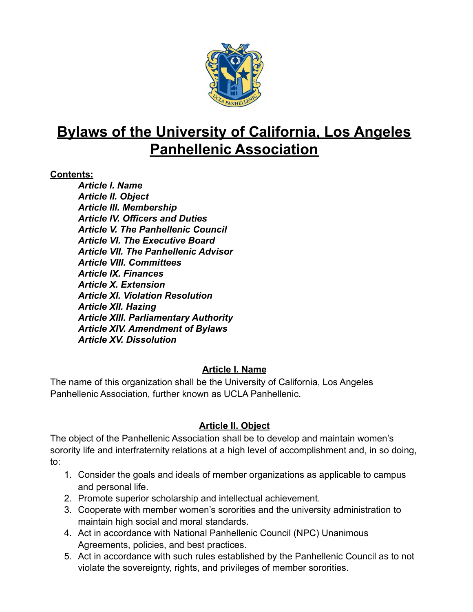

# **Bylaws of the University of California, Los Angeles Panhellenic Association**

#### **Contents:**

*Article I. Name Article II. Object Article III. Membership Article IV. Officers and Duties Article V. The Panhellenic Council Article VI. The Executive Board Article VII. The Panhellenic Advisor Article VIII. Committees Article IX. Finances Article X. Extension Article XI. Violation Resolution Article XII. Hazing Article XIII. Parliamentary Authority Article XIV. Amendment of Bylaws Article XV. Dissolution*

#### **Article I. Name**

The name of this organization shall be the University of California, Los Angeles Panhellenic Association, further known as UCLA Panhellenic.

## **Article II. Object**

The object of the Panhellenic Association shall be to develop and maintain women's sorority life and interfraternity relations at a high level of accomplishment and, in so doing, to:

- 1. Consider the goals and ideals of member organizations as applicable to campus and personal life.
- 2. Promote superior scholarship and intellectual achievement.
- 3. Cooperate with member women's sororities and the university administration to maintain high social and moral standards.
- 4. Act in accordance with National Panhellenic Council (NPC) Unanimous Agreements, policies, and best practices.
- 5. Act in accordance with such rules established by the Panhellenic Council as to not violate the sovereignty, rights, and privileges of member sororities.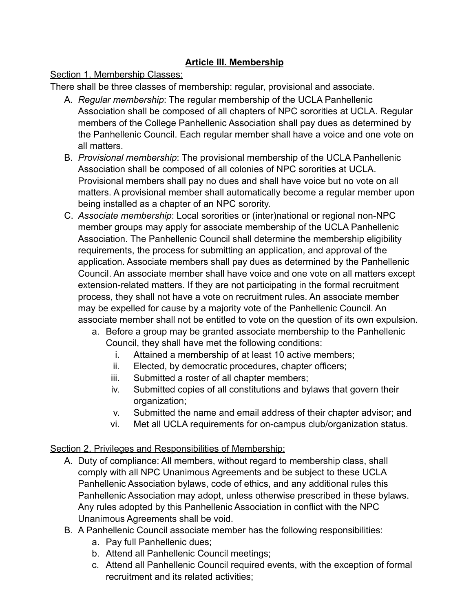## **Article III. Membership**

#### Section 1. Membership Classes:

There shall be three classes of membership: regular, provisional and associate.

- A. *Regular membership*: The regular membership of the UCLA Panhellenic Association shall be composed of all chapters of NPC sororities at UCLA. Regular members of the College Panhellenic Association shall pay dues as determined by the Panhellenic Council. Each regular member shall have a voice and one vote on all matters.
- B. *Provisional membership*: The provisional membership of the UCLA Panhellenic Association shall be composed of all colonies of NPC sororities at UCLA. Provisional members shall pay no dues and shall have voice but no vote on all matters. A provisional member shall automatically become a regular member upon being installed as a chapter of an NPC sorority.
- C. *Associate membership*: Local sororities or (inter)national or regional non-NPC member groups may apply for associate membership of the UCLA Panhellenic Association. The Panhellenic Council shall determine the membership eligibility requirements, the process for submitting an application, and approval of the application. Associate members shall pay dues as determined by the Panhellenic Council. An associate member shall have voice and one vote on all matters except extension-related matters. If they are not participating in the formal recruitment process, they shall not have a vote on recruitment rules. An associate member may be expelled for cause by a majority vote of the Panhellenic Council. An associate member shall not be entitled to vote on the question of its own expulsion.
	- a. Before a group may be granted associate membership to the Panhellenic Council, they shall have met the following conditions:
		- i. Attained a membership of at least 10 active members;
		- ii. Elected, by democratic procedures, chapter officers;
		- iii. Submitted a roster of all chapter members;
		- iv. Submitted copies of all constitutions and bylaws that govern their organization;
		- v. Submitted the name and email address of their chapter advisor; and
		- vi. Met all UCLA requirements for on-campus club/organization status.

#### Section 2. Privileges and Responsibilities of Membership:

- A. Duty of compliance: All members, without regard to membership class, shall comply with all NPC Unanimous Agreements and be subject to these UCLA Panhellenic Association bylaws, code of ethics, and any additional rules this Panhellenic Association may adopt, unless otherwise prescribed in these bylaws. Any rules adopted by this Panhellenic Association in conflict with the NPC Unanimous Agreements shall be void.
- B. A Panhellenic Council associate member has the following responsibilities:
	- a. Pay full Panhellenic dues;
	- b. Attend all Panhellenic Council meetings;
	- c. Attend all Panhellenic Council required events, with the exception of formal recruitment and its related activities;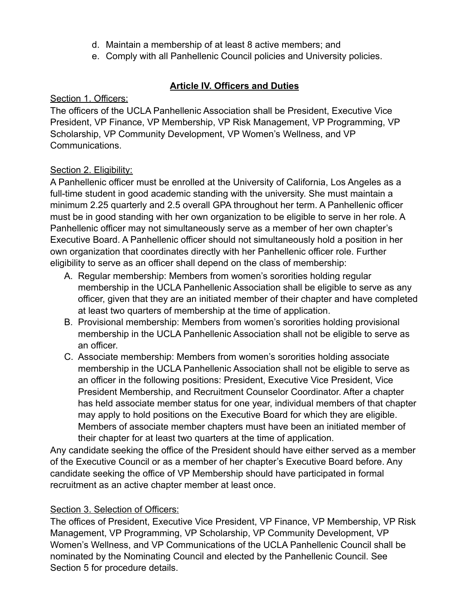- d. Maintain a membership of at least 8 active members; and
- e. Comply with all Panhellenic Council policies and University policies.

## **Article IV. Officers and Duties**

#### Section 1. Officers:

The officers of the UCLA Panhellenic Association shall be President, Executive Vice President, VP Finance, VP Membership, VP Risk Management, VP Programming, VP Scholarship, VP Community Development, VP Women's Wellness, and VP Communications.

#### Section 2. Eligibility:

A Panhellenic officer must be enrolled at the University of California, Los Angeles as a full-time student in good academic standing with the university. She must maintain a minimum 2.25 quarterly and 2.5 overall GPA throughout her term. A Panhellenic officer must be in good standing with her own organization to be eligible to serve in her role. A Panhellenic officer may not simultaneously serve as a member of her own chapter's Executive Board. A Panhellenic officer should not simultaneously hold a position in her own organization that coordinates directly with her Panhellenic officer role. Further eligibility to serve as an officer shall depend on the class of membership:

- A. Regular membership: Members from women's sororities holding regular membership in the UCLA Panhellenic Association shall be eligible to serve as any officer, given that they are an initiated member of their chapter and have completed at least two quarters of membership at the time of application.
- B. Provisional membership: Members from women's sororities holding provisional membership in the UCLA Panhellenic Association shall not be eligible to serve as an officer.
- C. Associate membership: Members from women's sororities holding associate membership in the UCLA Panhellenic Association shall not be eligible to serve as an officer in the following positions: President, Executive Vice President, Vice President Membership, and Recruitment Counselor Coordinator. After a chapter has held associate member status for one year, individual members of that chapter may apply to hold positions on the Executive Board for which they are eligible. Members of associate member chapters must have been an initiated member of their chapter for at least two quarters at the time of application.

Any candidate seeking the office of the President should have either served as a member of the Executive Council or as a member of her chapter's Executive Board before. Any candidate seeking the office of VP Membership should have participated in formal recruitment as an active chapter member at least once.

#### Section 3. Selection of Officers:

The offices of President, Executive Vice President, VP Finance, VP Membership, VP Risk Management, VP Programming, VP Scholarship, VP Community Development, VP Women's Wellness, and VP Communications of the UCLA Panhellenic Council shall be nominated by the Nominating Council and elected by the Panhellenic Council. See Section 5 for procedure details.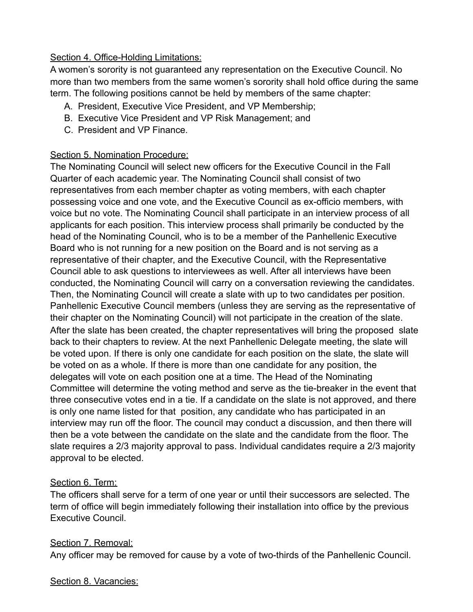#### Section 4. Office-Holding Limitations:

A women's sorority is not guaranteed any representation on the Executive Council. No more than two members from the same women's sorority shall hold office during the same term. The following positions cannot be held by members of the same chapter:

- A. President, Executive Vice President, and VP Membership;
- B. Executive Vice President and VP Risk Management; and
- C. President and VP Finance.

#### Section 5. Nomination Procedure:

The Nominating Council will select new officers for the Executive Council in the Fall Quarter of each academic year. The Nominating Council shall consist of two representatives from each member chapter as voting members, with each chapter possessing voice and one vote, and the Executive Council as ex-officio members, with voice but no vote. The Nominating Council shall participate in an interview process of all applicants for each position. This interview process shall primarily be conducted by the head of the Nominating Council, who is to be a member of the Panhellenic Executive Board who is not running for a new position on the Board and is not serving as a representative of their chapter, and the Executive Council, with the Representative Council able to ask questions to interviewees as well. After all interviews have been conducted, the Nominating Council will carry on a conversation reviewing the candidates. Then, the Nominating Council will create a slate with up to two candidates per position. Panhellenic Executive Council members (unless they are serving as the representative of their chapter on the Nominating Council) will not participate in the creation of the slate. After the slate has been created, the chapter representatives will bring the proposed slate back to their chapters to review. At the next Panhellenic Delegate meeting, the slate will be voted upon. If there is only one candidate for each position on the slate, the slate will be voted on as a whole. If there is more than one candidate for any position, the delegates will vote on each position one at a time. The Head of the Nominating Committee will determine the voting method and serve as the tie-breaker in the event that three consecutive votes end in a tie. If a candidate on the slate is not approved, and there is only one name listed for that position, any candidate who has participated in an interview may run off the floor. The council may conduct a discussion, and then there will then be a vote between the candidate on the slate and the candidate from the floor. The slate requires a 2/3 majority approval to pass. Individual candidates require a 2/3 majority approval to be elected.

#### Section 6. Term:

The officers shall serve for a term of one year or until their successors are selected. The term of office will begin immediately following their installation into office by the previous Executive Council.

#### Section 7. Removal:

Any officer may be removed for cause by a vote of two-thirds of the Panhellenic Council.

#### Section 8. Vacancies: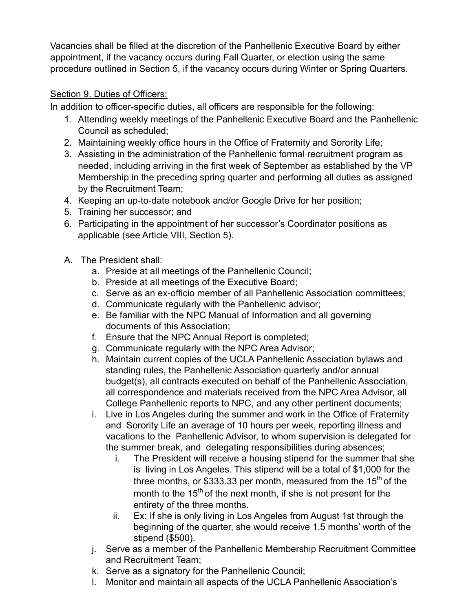Vacancies shall be filled at the discretion of the Panhellenic Executive Board by either appointment, if the vacancy occurs during Fall Quarter, or election using the same procedure outlined in Section 5, if the vacancy occurs during Winter or Spring Quarters.

## Section 9. Duties of Officers:

In addition to officer-specific duties, all officers are responsible for the following:

- 1. Attending weekly meetings of the Panhellenic Executive Board and the Panhellenic Council as scheduled;
- 2. Maintaining weekly office hours in the Office of Fraternity and Sorority Life;
- 3. Assisting in the administration of the Panhellenic formal recruitment program as needed, including arriving in the first week of September as established by the VP Membership in the preceding spring quarter and performing all duties as assigned by the Recruitment Team;
- 4. Keeping an up-to-date notebook and/or Google Drive for her position;
- 5. Training her successor; and
- 6. Participating in the appointment of her successor's Coordinator positions as applicable (see Article VIII, Section 5).
- A. The President shall:
	- a. Preside at all meetings of the Panhellenic Council;
	- b. Preside at all meetings of the Executive Board;
	- c. Serve as an ex-officio member of all Panhellenic Association committees;
	- d. Communicate regularly with the Panhellenic advisor;
	- e. Be familiar with the NPC Manual of Information and all governing documents of this Association;
	- f. Ensure that the NPC Annual Report is completed;
	- g. Communicate regularly with the NPC Area Advisor;
	- h. Maintain current copies of the UCLA Panhellenic Association bylaws and standing rules, the Panhellenic Association quarterly and/or annual budget(s), all contracts executed on behalf of the Panhellenic Association, all correspondence and materials received from the NPC Area Advisor, all College Panhellenic reports to NPC, and any other pertinent documents;
	- i. Live in Los Angeles during the summer and work in the Office of Fraternity and Sorority Life an average of 10 hours per week, reporting illness and vacations to the Panhellenic Advisor, to whom supervision is delegated for the summer break, and delegating responsibilities during absences;
		- i. The President will receive a housing stipend for the summer that she is living in Los Angeles. This stipend will be a total of \$1,000 for the three months, or \$333.33 per month, measured from the 15<sup>th</sup> of the month to the 15<sup>th</sup> of the next month, if she is not present for the entirety of the three months.
		- ii. Ex: If she is only living in Los Angeles from August 1st through the beginning of the quarter, she would receive 1.5 months' worth of the stipend (\$500).
	- j. Serve as a member of the Panhellenic Membership Recruitment Committee and Recruitment Team;
	- k. Serve as a signatory for the Panhellenic Council;
	- l. Monitor and maintain all aspects of the UCLA Panhellenic Association's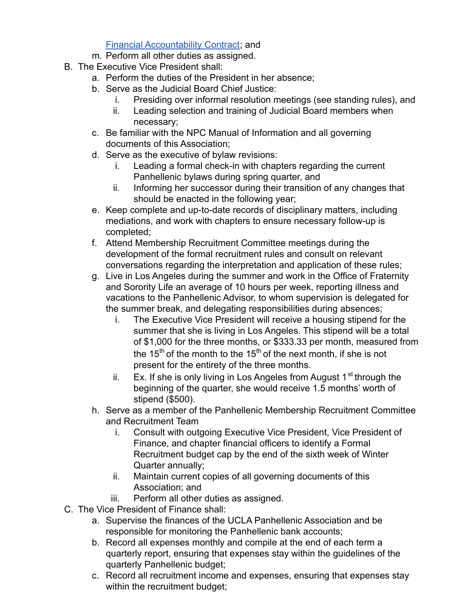Financial [Accountability](https://docs.google.com/document/u/3/d/1-Y-tjHOAfePgguMyMyZIuFMPlr_kGsv4r6oV317xxek/edit) Contract; and

- m. Perform all other duties as assigned.
- B. The Executive Vice President shall:
	- a. Perform the duties of the President in her absence;
	- b. Serve as the Judicial Board Chief Justice:
		- i. Presiding over informal resolution meetings (see standing rules), and
		- ii. Leading selection and training of Judicial Board members when necessary;
	- c. Be familiar with the NPC Manual of Information and all governing documents of this Association;
	- d. Serve as the executive of bylaw revisions:
		- i. Leading a formal check-in with chapters regarding the current Panhellenic bylaws during spring quarter, and
		- ii. Informing her successor during their transition of any changes that should be enacted in the following year;
	- e. Keep complete and up-to-date records of disciplinary matters, including mediations, and work with chapters to ensure necessary follow-up is completed;
	- f. Attend Membership Recruitment Committee meetings during the development of the formal recruitment rules and consult on relevant conversations regarding the interpretation and application of these rules;
	- g. Live in Los Angeles during the summer and work in the Office of Fraternity and Sorority Life an average of 10 hours per week, reporting illness and vacations to the Panhellenic Advisor, to whom supervision is delegated for the summer break, and delegating responsibilities during absences;
		- i. The Executive Vice President will receive a housing stipend for the summer that she is living in Los Angeles. This stipend will be a total of \$1,000 for the three months, or \$333.33 per month, measured from the 15<sup>th</sup> of the month to the 15<sup>th</sup> of the next month, if she is not present for the entirety of the three months.
		- ii. Ex. If she is only living in Los Angeles from August 1<sup>st</sup> through the beginning of the quarter, she would receive 1.5 months' worth of stipend (\$500).
	- h. Serve as a member of the Panhellenic Membership Recruitment Committee and Recruitment Team
		- i. Consult with outgoing Executive Vice President, Vice President of Finance, and chapter financial officers to identify a Formal Recruitment budget cap by the end of the sixth week of Winter Quarter annually;
		- ii. Maintain current copies of all governing documents of this Association; and
		- iii. Perform all other duties as assigned.
- C. The Vice President of Finance shall:
	- a. Supervise the finances of the UCLA Panhellenic Association and be responsible for monitoring the Panhellenic bank accounts;
	- b. Record all expenses monthly and compile at the end of each term a quarterly report, ensuring that expenses stay within the guidelines of the quarterly Panhellenic budget;
	- c. Record all recruitment income and expenses, ensuring that expenses stay within the recruitment budget;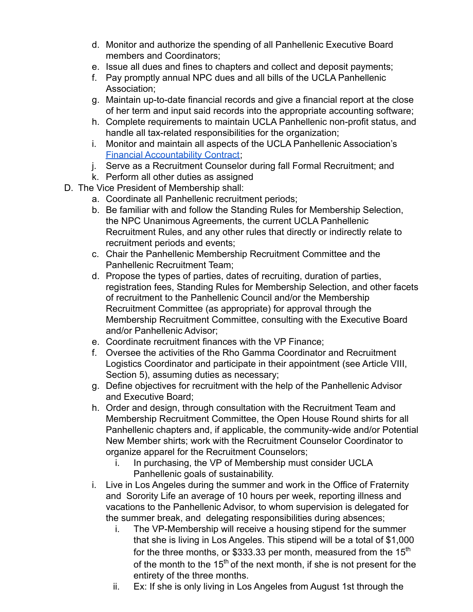- d. Monitor and authorize the spending of all Panhellenic Executive Board members and Coordinators;
- e. Issue all dues and fines to chapters and collect and deposit payments;
- f. Pay promptly annual NPC dues and all bills of the UCLA Panhellenic Association;
- g. Maintain up-to-date financial records and give a financial report at the close of her term and input said records into the appropriate accounting software;
- h. Complete requirements to maintain UCLA Panhellenic non-profit status, and handle all tax-related responsibilities for the organization;
- i. Monitor and maintain all aspects of the UCLA Panhellenic Association's Financial [Accountability](https://docs.google.com/document/u/3/d/1-Y-tjHOAfePgguMyMyZIuFMPlr_kGsv4r6oV317xxek/edit) Contract;
- j. Serve as a Recruitment Counselor during fall Formal Recruitment; and
- k. Perform all other duties as assigned
- D. The Vice President of Membership shall:
	- a. Coordinate all Panhellenic recruitment periods;
	- b. Be familiar with and follow the Standing Rules for Membership Selection, the NPC Unanimous Agreements, the current UCLA Panhellenic Recruitment Rules, and any other rules that directly or indirectly relate to recruitment periods and events;
	- c. Chair the Panhellenic Membership Recruitment Committee and the Panhellenic Recruitment Team;
	- d. Propose the types of parties, dates of recruiting, duration of parties, registration fees, Standing Rules for Membership Selection, and other facets of recruitment to the Panhellenic Council and/or the Membership Recruitment Committee (as appropriate) for approval through the Membership Recruitment Committee, consulting with the Executive Board and/or Panhellenic Advisor;
	- e. Coordinate recruitment finances with the VP Finance;
	- f. Oversee the activities of the Rho Gamma Coordinator and Recruitment Logistics Coordinator and participate in their appointment (see Article VIII, Section 5), assuming duties as necessary;
	- g. Define objectives for recruitment with the help of the Panhellenic Advisor and Executive Board;
	- h. Order and design, through consultation with the Recruitment Team and Membership Recruitment Committee, the Open House Round shirts for all Panhellenic chapters and, if applicable, the community-wide and/or Potential New Member shirts; work with the Recruitment Counselor Coordinator to organize apparel for the Recruitment Counselors;
		- i. In purchasing, the VP of Membership must consider UCLA Panhellenic goals of sustainability.
	- i. Live in Los Angeles during the summer and work in the Office of Fraternity and Sorority Life an average of 10 hours per week, reporting illness and vacations to the Panhellenic Advisor, to whom supervision is delegated for the summer break, and delegating responsibilities during absences;
		- i. The VP-Membership will receive a housing stipend for the summer that she is living in Los Angeles. This stipend will be a total of \$1,000 for the three months, or \$333.33 per month, measured from the 15<sup>th</sup> of the month to the 15<sup>th</sup> of the next month, if she is not present for the entirety of the three months.
		- ii. Ex: If she is only living in Los Angeles from August 1st through the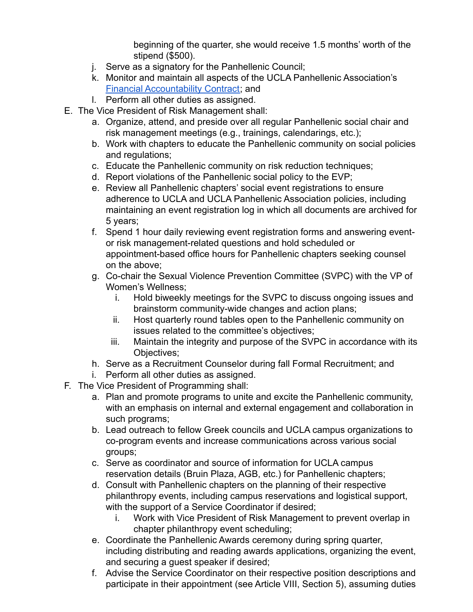beginning of the quarter, she would receive 1.5 months' worth of the stipend (\$500).

- j. Serve as a signatory for the Panhellenic Council;
- k. Monitor and maintain all aspects of the UCLA Panhellenic Association's Financial [Accountability](https://docs.google.com/document/u/3/d/1-Y-tjHOAfePgguMyMyZIuFMPlr_kGsv4r6oV317xxek/edit) Contract; and
- l. Perform all other duties as assigned.
- E. The Vice President of Risk Management shall:
	- a. Organize, attend, and preside over all regular Panhellenic social chair and risk management meetings (e.g., trainings, calendarings, etc.);
	- b. Work with chapters to educate the Panhellenic community on social policies and regulations;
	- c. Educate the Panhellenic community on risk reduction techniques;
	- d. Report violations of the Panhellenic social policy to the EVP;
	- e. Review all Panhellenic chapters' social event registrations to ensure adherence to UCLA and UCLA Panhellenic Association policies, including maintaining an event registration log in which all documents are archived for 5 years;
	- f. Spend 1 hour daily reviewing event registration forms and answering eventor risk management-related questions and hold scheduled or appointment-based office hours for Panhellenic chapters seeking counsel on the above;
	- g. Co-chair the Sexual Violence Prevention Committee (SVPC) with the VP of Women's Wellness;
		- i. Hold biweekly meetings for the SVPC to discuss ongoing issues and brainstorm community-wide changes and action plans;
		- ii. Host quarterly round tables open to the Panhellenic community on issues related to the committee's objectives;
		- iii. Maintain the integrity and purpose of the SVPC in accordance with its Objectives;
	- h. Serve as a Recruitment Counselor during fall Formal Recruitment; and
	- i. Perform all other duties as assigned.
- F. The Vice President of Programming shall:
	- a. Plan and promote programs to unite and excite the Panhellenic community, with an emphasis on internal and external engagement and collaboration in such programs;
	- b. Lead outreach to fellow Greek councils and UCLA campus organizations to co-program events and increase communications across various social groups;
	- c. Serve as coordinator and source of information for UCLA campus reservation details (Bruin Plaza, AGB, etc.) for Panhellenic chapters;
	- d. Consult with Panhellenic chapters on the planning of their respective philanthropy events, including campus reservations and logistical support, with the support of a Service Coordinator if desired;
		- i. Work with Vice President of Risk Management to prevent overlap in chapter philanthropy event scheduling;
	- e. Coordinate the Panhellenic Awards ceremony during spring quarter, including distributing and reading awards applications, organizing the event, and securing a guest speaker if desired;
	- f. Advise the Service Coordinator on their respective position descriptions and participate in their appointment (see Article VIII, Section 5), assuming duties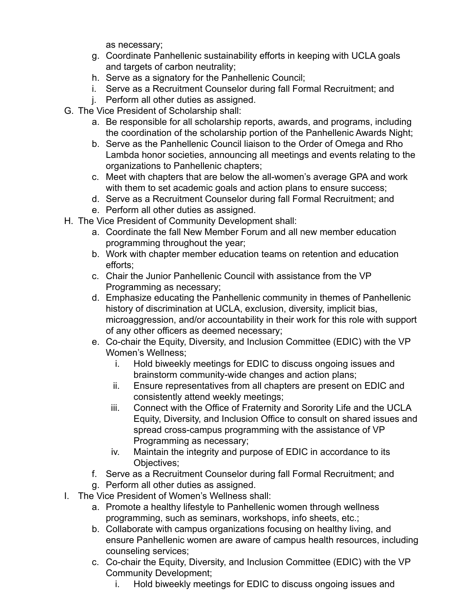as necessary;

- g. Coordinate Panhellenic sustainability efforts in keeping with UCLA goals and targets of carbon neutrality;
- h. Serve as a signatory for the Panhellenic Council;
- i. Serve as a Recruitment Counselor during fall Formal Recruitment; and
- j. Perform all other duties as assigned.
- G. The Vice President of Scholarship shall:
	- a. Be responsible for all scholarship reports, awards, and programs, including the coordination of the scholarship portion of the Panhellenic Awards Night;
	- b. Serve as the Panhellenic Council liaison to the Order of Omega and Rho Lambda honor societies, announcing all meetings and events relating to the organizations to Panhellenic chapters;
	- c. Meet with chapters that are below the all-women's average GPA and work with them to set academic goals and action plans to ensure success;
	- d. Serve as a Recruitment Counselor during fall Formal Recruitment; and
	- e. Perform all other duties as assigned.
- H. The Vice President of Community Development shall:
	- a. Coordinate the fall New Member Forum and all new member education programming throughout the year;
	- b. Work with chapter member education teams on retention and education efforts;
	- c. Chair the Junior Panhellenic Council with assistance from the VP Programming as necessary;
	- d. Emphasize educating the Panhellenic community in themes of Panhellenic history of discrimination at UCLA, exclusion, diversity, implicit bias, microaggression, and/or accountability in their work for this role with support of any other officers as deemed necessary;
	- e. Co-chair the Equity, Diversity, and Inclusion Committee (EDIC) with the VP Women's Wellness;
		- i. Hold biweekly meetings for EDIC to discuss ongoing issues and brainstorm community-wide changes and action plans;
		- ii. Ensure representatives from all chapters are present on EDIC and consistently attend weekly meetings;
		- iii. Connect with the Office of Fraternity and Sorority Life and the UCLA Equity, Diversity, and Inclusion Office to consult on shared issues and spread cross-campus programming with the assistance of VP Programming as necessary;
		- iv. Maintain the integrity and purpose of EDIC in accordance to its Objectives;
	- f. Serve as a Recruitment Counselor during fall Formal Recruitment; and
	- g. Perform all other duties as assigned.
- I. The Vice President of Women's Wellness shall:
	- a. Promote a healthy lifestyle to Panhellenic women through wellness programming, such as seminars, workshops, info sheets, etc.;
	- b. Collaborate with campus organizations focusing on healthy living, and ensure Panhellenic women are aware of campus health resources, including counseling services;
	- c. Co-chair the Equity, Diversity, and Inclusion Committee (EDIC) with the VP Community Development;
		- i. Hold biweekly meetings for EDIC to discuss ongoing issues and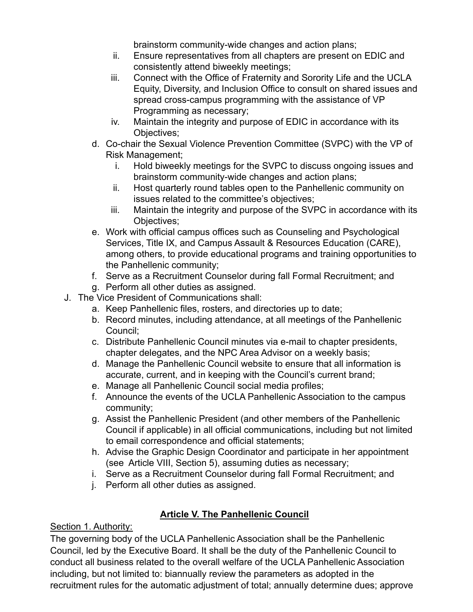brainstorm community-wide changes and action plans;

- ii. Ensure representatives from all chapters are present on EDIC and consistently attend biweekly meetings;
- iii. Connect with the Office of Fraternity and Sorority Life and the UCLA Equity, Diversity, and Inclusion Office to consult on shared issues and spread cross-campus programming with the assistance of VP Programming as necessary;
- iv. Maintain the integrity and purpose of EDIC in accordance with its Objectives;
- d. Co-chair the Sexual Violence Prevention Committee (SVPC) with the VP of Risk Management;
	- i. Hold biweekly meetings for the SVPC to discuss ongoing issues and brainstorm community-wide changes and action plans;
	- ii. Host quarterly round tables open to the Panhellenic community on issues related to the committee's objectives;
	- iii. Maintain the integrity and purpose of the SVPC in accordance with its Objectives;
- e. Work with official campus offices such as Counseling and Psychological Services, Title IX, and Campus Assault & Resources Education (CARE), among others, to provide educational programs and training opportunities to the Panhellenic community;
- f. Serve as a Recruitment Counselor during fall Formal Recruitment; and
- g. Perform all other duties as assigned.
- J. The Vice President of Communications shall:
	- a. Keep Panhellenic files, rosters, and directories up to date;
	- b. Record minutes, including attendance, at all meetings of the Panhellenic Council;
	- c. Distribute Panhellenic Council minutes via e-mail to chapter presidents, chapter delegates, and the NPC Area Advisor on a weekly basis;
	- d. Manage the Panhellenic Council website to ensure that all information is accurate, current, and in keeping with the Council's current brand;
	- e. Manage all Panhellenic Council social media profiles;
	- f. Announce the events of the UCLA Panhellenic Association to the campus community;
	- g. Assist the Panhellenic President (and other members of the Panhellenic Council if applicable) in all official communications, including but not limited to email correspondence and official statements;
	- h. Advise the Graphic Design Coordinator and participate in her appointment (see Article VIII, Section 5), assuming duties as necessary;
	- i. Serve as a Recruitment Counselor during fall Formal Recruitment; and
	- j. Perform all other duties as assigned.

# **Article V. The Panhellenic Council**

#### Section 1. Authority:

The governing body of the UCLA Panhellenic Association shall be the Panhellenic Council, led by the Executive Board. It shall be the duty of the Panhellenic Council to conduct all business related to the overall welfare of the UCLA Panhellenic Association including, but not limited to: biannually review the parameters as adopted in the recruitment rules for the automatic adjustment of total; annually determine dues; approve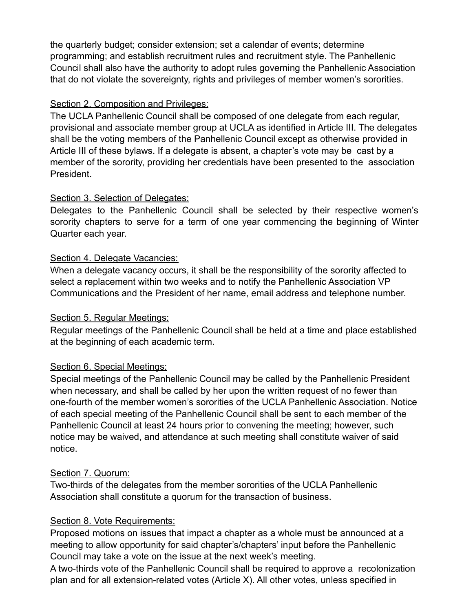the quarterly budget; consider extension; set a calendar of events; determine programming; and establish recruitment rules and recruitment style. The Panhellenic Council shall also have the authority to adopt rules governing the Panhellenic Association that do not violate the sovereignty, rights and privileges of member women's sororities.

#### Section 2. Composition and Privileges:

The UCLA Panhellenic Council shall be composed of one delegate from each regular, provisional and associate member group at UCLA as identified in Article III. The delegates shall be the voting members of the Panhellenic Council except as otherwise provided in Article III of these bylaws. If a delegate is absent, a chapter's vote may be cast by a member of the sorority, providing her credentials have been presented to the association President.

#### Section 3. Selection of Delegates:

Delegates to the Panhellenic Council shall be selected by their respective women's sorority chapters to serve for a term of one year commencing the beginning of Winter Quarter each year.

#### Section 4. Delegate Vacancies:

When a delegate vacancy occurs, it shall be the responsibility of the sorority affected to select a replacement within two weeks and to notify the Panhellenic Association VP Communications and the President of her name, email address and telephone number.

#### Section 5. Regular Meetings:

Regular meetings of the Panhellenic Council shall be held at a time and place established at the beginning of each academic term.

## Section 6. Special Meetings:

Special meetings of the Panhellenic Council may be called by the Panhellenic President when necessary, and shall be called by her upon the written request of no fewer than one-fourth of the member women's sororities of the UCLA Panhellenic Association. Notice of each special meeting of the Panhellenic Council shall be sent to each member of the Panhellenic Council at least 24 hours prior to convening the meeting; however, such notice may be waived, and attendance at such meeting shall constitute waiver of said notice.

#### Section 7. Quorum:

Two-thirds of the delegates from the member sororities of the UCLA Panhellenic Association shall constitute a quorum for the transaction of business.

## Section 8. Vote Requirements:

Proposed motions on issues that impact a chapter as a whole must be announced at a meeting to allow opportunity for said chapter's/chapters' input before the Panhellenic Council may take a vote on the issue at the next week's meeting.

A two-thirds vote of the Panhellenic Council shall be required to approve a recolonization plan and for all extension-related votes (Article X). All other votes, unless specified in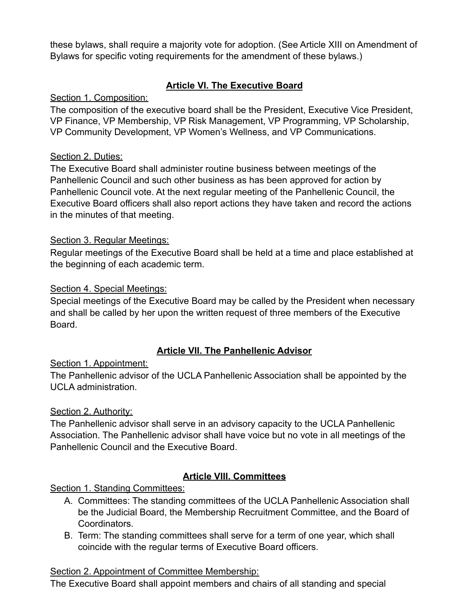these bylaws, shall require a majority vote for adoption. (See Article XIII on Amendment of Bylaws for specific voting requirements for the amendment of these bylaws.)

## **Article VI. The Executive Board**

#### Section 1. Composition:

The composition of the executive board shall be the President, Executive Vice President, VP Finance, VP Membership, VP Risk Management, VP Programming, VP Scholarship, VP Community Development, VP Women's Wellness, and VP Communications.

#### Section 2. Duties:

The Executive Board shall administer routine business between meetings of the Panhellenic Council and such other business as has been approved for action by Panhellenic Council vote. At the next regular meeting of the Panhellenic Council, the Executive Board officers shall also report actions they have taken and record the actions in the minutes of that meeting.

#### Section 3. Regular Meetings:

Regular meetings of the Executive Board shall be held at a time and place established at the beginning of each academic term.

#### Section 4. Special Meetings:

Special meetings of the Executive Board may be called by the President when necessary and shall be called by her upon the written request of three members of the Executive Board.

#### **Article VII. The Panhellenic Advisor**

Section 1. Appointment:

The Panhellenic advisor of the UCLA Panhellenic Association shall be appointed by the UCLA administration.

#### Section 2. Authority:

The Panhellenic advisor shall serve in an advisory capacity to the UCLA Panhellenic Association. The Panhellenic advisor shall have voice but no vote in all meetings of the Panhellenic Council and the Executive Board.

## **Article VIII. Committees**

#### Section 1. Standing Committees:

- A. Committees: The standing committees of the UCLA Panhellenic Association shall be the Judicial Board, the Membership Recruitment Committee, and the Board of Coordinators.
- B. Term: The standing committees shall serve for a term of one year, which shall coincide with the regular terms of Executive Board officers.

#### Section 2. Appointment of Committee Membership:

The Executive Board shall appoint members and chairs of all standing and special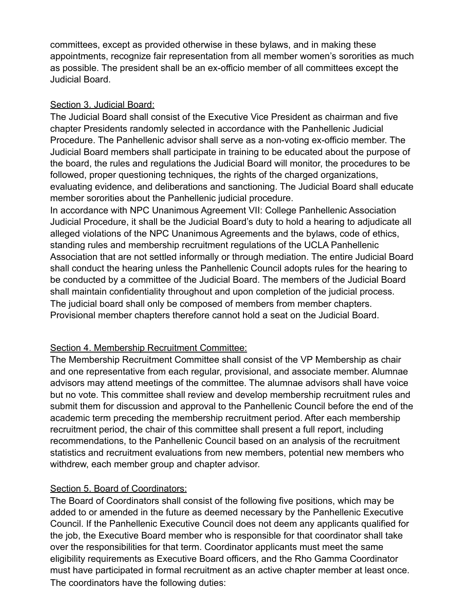committees, except as provided otherwise in these bylaws, and in making these appointments, recognize fair representation from all member women's sororities as much as possible. The president shall be an ex-officio member of all committees except the Judicial Board.

#### Section 3. Judicial Board:

The Judicial Board shall consist of the Executive Vice President as chairman and five chapter Presidents randomly selected in accordance with the Panhellenic Judicial Procedure. The Panhellenic advisor shall serve as a non-voting ex-officio member. The Judicial Board members shall participate in training to be educated about the purpose of the board, the rules and regulations the Judicial Board will monitor, the procedures to be followed, proper questioning techniques, the rights of the charged organizations, evaluating evidence, and deliberations and sanctioning. The Judicial Board shall educate member sororities about the Panhellenic judicial procedure.

In accordance with NPC Unanimous Agreement VII: College Panhellenic Association Judicial Procedure, it shall be the Judicial Board's duty to hold a hearing to adjudicate all alleged violations of the NPC Unanimous Agreements and the bylaws, code of ethics, standing rules and membership recruitment regulations of the UCLA Panhellenic Association that are not settled informally or through mediation. The entire Judicial Board shall conduct the hearing unless the Panhellenic Council adopts rules for the hearing to be conducted by a committee of the Judicial Board. The members of the Judicial Board shall maintain confidentiality throughout and upon completion of the judicial process. The judicial board shall only be composed of members from member chapters. Provisional member chapters therefore cannot hold a seat on the Judicial Board.

#### Section 4. Membership Recruitment Committee:

The Membership Recruitment Committee shall consist of the VP Membership as chair and one representative from each regular, provisional, and associate member. Alumnae advisors may attend meetings of the committee. The alumnae advisors shall have voice but no vote. This committee shall review and develop membership recruitment rules and submit them for discussion and approval to the Panhellenic Council before the end of the academic term preceding the membership recruitment period. After each membership recruitment period, the chair of this committee shall present a full report, including recommendations, to the Panhellenic Council based on an analysis of the recruitment statistics and recruitment evaluations from new members, potential new members who withdrew, each member group and chapter advisor.

#### Section 5. Board of Coordinators:

The Board of Coordinators shall consist of the following five positions, which may be added to or amended in the future as deemed necessary by the Panhellenic Executive Council. If the Panhellenic Executive Council does not deem any applicants qualified for the job, the Executive Board member who is responsible for that coordinator shall take over the responsibilities for that term. Coordinator applicants must meet the same eligibility requirements as Executive Board officers, and the Rho Gamma Coordinator must have participated in formal recruitment as an active chapter member at least once. The coordinators have the following duties: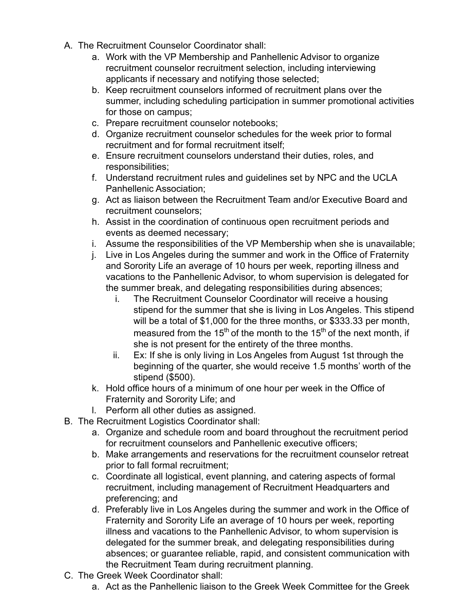- A. The Recruitment Counselor Coordinator shall:
	- a. Work with the VP Membership and Panhellenic Advisor to organize recruitment counselor recruitment selection, including interviewing applicants if necessary and notifying those selected;
	- b. Keep recruitment counselors informed of recruitment plans over the summer, including scheduling participation in summer promotional activities for those on campus;
	- c. Prepare recruitment counselor notebooks;
	- d. Organize recruitment counselor schedules for the week prior to formal recruitment and for formal recruitment itself;
	- e. Ensure recruitment counselors understand their duties, roles, and responsibilities;
	- f. Understand recruitment rules and guidelines set by NPC and the UCLA Panhellenic Association;
	- g. Act as liaison between the Recruitment Team and/or Executive Board and recruitment counselors;
	- h. Assist in the coordination of continuous open recruitment periods and events as deemed necessary;
	- i. Assume the responsibilities of the VP Membership when she is unavailable;
	- j. Live in Los Angeles during the summer and work in the Office of Fraternity and Sorority Life an average of 10 hours per week, reporting illness and vacations to the Panhellenic Advisor, to whom supervision is delegated for the summer break, and delegating responsibilities during absences;
		- i. The Recruitment Counselor Coordinator will receive a housing stipend for the summer that she is living in Los Angeles. This stipend will be a total of \$1,000 for the three months, or \$333.33 per month, measured from the 15<sup>th</sup> of the month to the 15<sup>th</sup> of the next month, if she is not present for the entirety of the three months.
		- ii. Ex: If she is only living in Los Angeles from August 1st through the beginning of the quarter, she would receive 1.5 months' worth of the stipend (\$500).
	- k. Hold office hours of a minimum of one hour per week in the Office of Fraternity and Sorority Life; and
	- l. Perform all other duties as assigned.
- B. The Recruitment Logistics Coordinator shall:
	- a. Organize and schedule room and board throughout the recruitment period for recruitment counselors and Panhellenic executive officers;
	- b. Make arrangements and reservations for the recruitment counselor retreat prior to fall formal recruitment;
	- c. Coordinate all logistical, event planning, and catering aspects of formal recruitment, including management of Recruitment Headquarters and preferencing; and
	- d. Preferably live in Los Angeles during the summer and work in the Office of Fraternity and Sorority Life an average of 10 hours per week, reporting illness and vacations to the Panhellenic Advisor, to whom supervision is delegated for the summer break, and delegating responsibilities during absences; or guarantee reliable, rapid, and consistent communication with the Recruitment Team during recruitment planning.
- C. The Greek Week Coordinator shall:
	- a. Act as the Panhellenic liaison to the Greek Week Committee for the Greek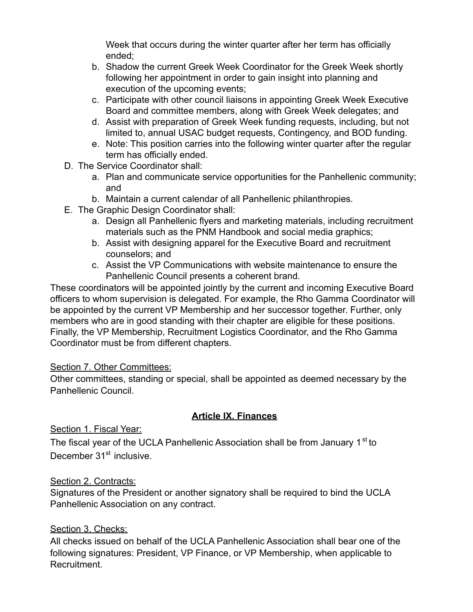Week that occurs during the winter quarter after her term has officially ended;

- b. Shadow the current Greek Week Coordinator for the Greek Week shortly following her appointment in order to gain insight into planning and execution of the upcoming events;
- c. Participate with other council liaisons in appointing Greek Week Executive Board and committee members, along with Greek Week delegates; and
- d. Assist with preparation of Greek Week funding requests, including, but not limited to, annual USAC budget requests, Contingency, and BOD funding.
- e. Note: This position carries into the following winter quarter after the regular term has officially ended.
- D. The Service Coordinator shall:
	- a. Plan and communicate service opportunities for the Panhellenic community; and
	- b. Maintain a current calendar of all Panhellenic philanthropies.
- E. The Graphic Design Coordinator shall:
	- a. Design all Panhellenic flyers and marketing materials, including recruitment materials such as the PNM Handbook and social media graphics;
	- b. Assist with designing apparel for the Executive Board and recruitment counselors; and
	- c. Assist the VP Communications with website maintenance to ensure the Panhellenic Council presents a coherent brand.

These coordinators will be appointed jointly by the current and incoming Executive Board officers to whom supervision is delegated. For example, the Rho Gamma Coordinator will be appointed by the current VP Membership and her successor together. Further, only members who are in good standing with their chapter are eligible for these positions. Finally, the VP Membership, Recruitment Logistics Coordinator, and the Rho Gamma Coordinator must be from different chapters.

#### Section 7. Other Committees:

Other committees, standing or special, shall be appointed as deemed necessary by the Panhellenic Council.

## **Article IX. Finances**

Section 1. Fiscal Year:

The fiscal year of the UCLA Panhellenic Association shall be from January 1<sup>st</sup> to December 31<sup>st</sup> inclusive.

#### Section 2. Contracts:

Signatures of the President or another signatory shall be required to bind the UCLA Panhellenic Association on any contract.

#### Section 3. Checks:

All checks issued on behalf of the UCLA Panhellenic Association shall bear one of the following signatures: President, VP Finance, or VP Membership, when applicable to Recruitment.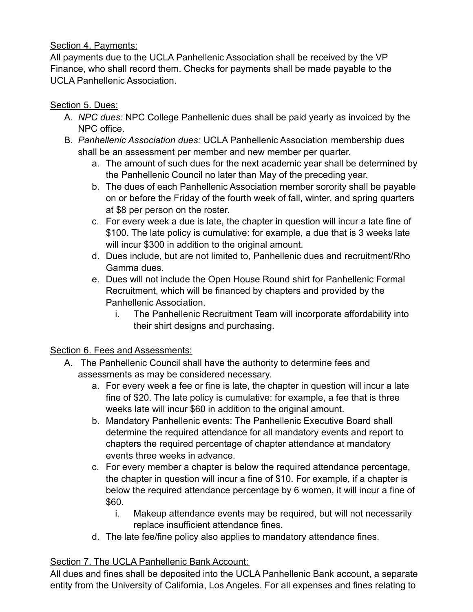## Section 4. Payments:

All payments due to the UCLA Panhellenic Association shall be received by the VP Finance, who shall record them. Checks for payments shall be made payable to the UCLA Panhellenic Association.

## Section 5. Dues:

- A. *NPC dues:* NPC College Panhellenic dues shall be paid yearly as invoiced by the NPC office.
- B. *Panhellenic Association dues:* UCLA Panhellenic Association membership dues shall be an assessment per member and new member per quarter.
	- a. The amount of such dues for the next academic year shall be determined by the Panhellenic Council no later than May of the preceding year.
	- b. The dues of each Panhellenic Association member sorority shall be payable on or before the Friday of the fourth week of fall, winter, and spring quarters at \$8 per person on the roster.
	- c. For every week a due is late, the chapter in question will incur a late fine of \$100. The late policy is cumulative: for example, a due that is 3 weeks late will incur \$300 in addition to the original amount.
	- d. Dues include, but are not limited to, Panhellenic dues and recruitment/Rho Gamma dues.
	- e. Dues will not include the Open House Round shirt for Panhellenic Formal Recruitment, which will be financed by chapters and provided by the Panhellenic Association.
		- i. The Panhellenic Recruitment Team will incorporate affordability into their shirt designs and purchasing.

## Section 6. Fees and Assessments:

- A. The Panhellenic Council shall have the authority to determine fees and assessments as may be considered necessary.
	- a. For every week a fee or fine is late, the chapter in question will incur a late fine of \$20. The late policy is cumulative: for example, a fee that is three weeks late will incur \$60 in addition to the original amount.
	- b. Mandatory Panhellenic events: The Panhellenic Executive Board shall determine the required attendance for all mandatory events and report to chapters the required percentage of chapter attendance at mandatory events three weeks in advance.
	- c. For every member a chapter is below the required attendance percentage, the chapter in question will incur a fine of \$10. For example, if a chapter is below the required attendance percentage by 6 women, it will incur a fine of \$60.
		- i. Makeup attendance events may be required, but will not necessarily replace insufficient attendance fines.
	- d. The late fee/fine policy also applies to mandatory attendance fines.

## Section 7. The UCLA Panhellenic Bank Account:

All dues and fines shall be deposited into the UCLA Panhellenic Bank account, a separate entity from the University of California, Los Angeles. For all expenses and fines relating to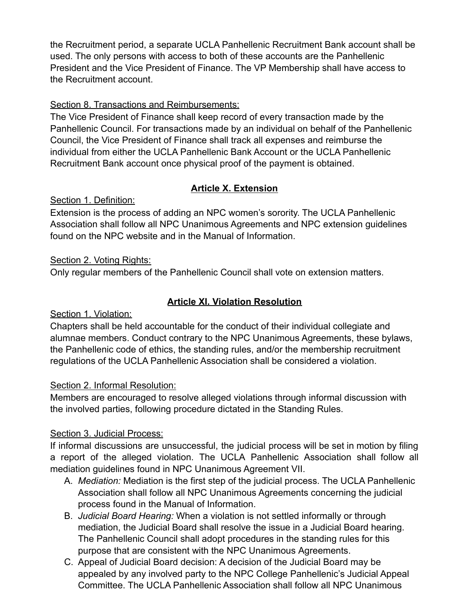the Recruitment period, a separate UCLA Panhellenic Recruitment Bank account shall be used. The only persons with access to both of these accounts are the Panhellenic President and the Vice President of Finance. The VP Membership shall have access to the Recruitment account.

## Section 8. Transactions and Reimbursements:

The Vice President of Finance shall keep record of every transaction made by the Panhellenic Council. For transactions made by an individual on behalf of the Panhellenic Council, the Vice President of Finance shall track all expenses and reimburse the individual from either the UCLA Panhellenic Bank Account or the UCLA Panhellenic Recruitment Bank account once physical proof of the payment is obtained.

# **Article X. Extension**

Section 1. Definition:

Extension is the process of adding an NPC women's sorority. The UCLA Panhellenic Association shall follow all NPC Unanimous Agreements and NPC extension guidelines found on the NPC website and in the Manual of Information.

## Section 2. Voting Rights:

Only regular members of the Panhellenic Council shall vote on extension matters.

## **Article XI. Violation Resolution**

Section 1. Violation:

Chapters shall be held accountable for the conduct of their individual collegiate and alumnae members. Conduct contrary to the NPC Unanimous Agreements, these bylaws, the Panhellenic code of ethics, the standing rules, and/or the membership recruitment regulations of the UCLA Panhellenic Association shall be considered a violation.

## Section 2. Informal Resolution:

Members are encouraged to resolve alleged violations through informal discussion with the involved parties, following procedure dictated in the Standing Rules.

## Section 3. Judicial Process:

If informal discussions are unsuccessful, the judicial process will be set in motion by filing a report of the alleged violation. The UCLA Panhellenic Association shall follow all mediation guidelines found in NPC Unanimous Agreement VII.

- A. *Mediation:* Mediation is the first step of the judicial process. The UCLA Panhellenic Association shall follow all NPC Unanimous Agreements concerning the judicial process found in the Manual of Information.
- B. *Judicial Board Hearing:* When a violation is not settled informally or through mediation, the Judicial Board shall resolve the issue in a Judicial Board hearing. The Panhellenic Council shall adopt procedures in the standing rules for this purpose that are consistent with the NPC Unanimous Agreements.
- C. Appeal of Judicial Board decision: A decision of the Judicial Board may be appealed by any involved party to the NPC College Panhellenic's Judicial Appeal Committee. The UCLA Panhellenic Association shall follow all NPC Unanimous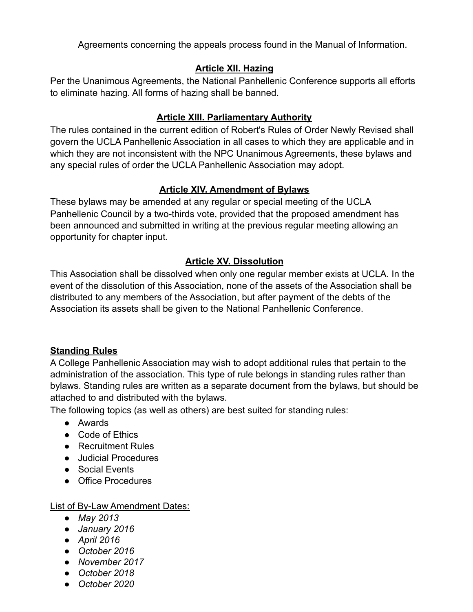Agreements concerning the appeals process found in the Manual of Information.

#### **Article XII. Hazing**

Per the Unanimous Agreements, the National Panhellenic Conference supports all efforts to eliminate hazing. All forms of hazing shall be banned.

#### **Article XIII. Parliamentary Authority**

The rules contained in the current edition of Robert's Rules of Order Newly Revised shall govern the UCLA Panhellenic Association in all cases to which they are applicable and in which they are not inconsistent with the NPC Unanimous Agreements, these bylaws and any special rules of order the UCLA Panhellenic Association may adopt.

## **Article XIV. Amendment of Bylaws**

These bylaws may be amended at any regular or special meeting of the UCLA Panhellenic Council by a two-thirds vote, provided that the proposed amendment has been announced and submitted in writing at the previous regular meeting allowing an opportunity for chapter input.

## **Article XV. Dissolution**

This Association shall be dissolved when only one regular member exists at UCLA. In the event of the dissolution of this Association, none of the assets of the Association shall be distributed to any members of the Association, but after payment of the debts of the Association its assets shall be given to the National Panhellenic Conference.

#### **Standing Rules**

A College Panhellenic Association may wish to adopt additional rules that pertain to the administration of the association. This type of rule belongs in standing rules rather than bylaws. Standing rules are written as a separate document from the bylaws, but should be attached to and distributed with the bylaws.

The following topics (as well as others) are best suited for standing rules:

- Awards
- Code of Ethics
- Recruitment Rules
- Judicial Procedures
- Social Events
- Office Procedures

List of By-Law Amendment Dates:

- *● May 2013*
- *● January 2016*
- *● April 2016*
- *● October 2016*
- *● November 2017*
- *● October 2018*
- *● October 2020*